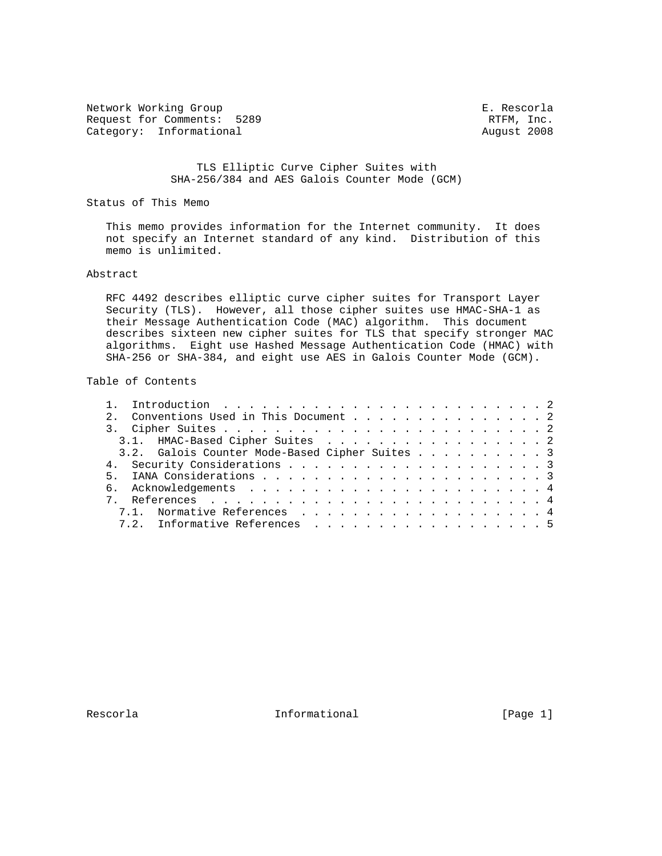Network Working Group<br>Request for Comments: 5289 The Secord Request for Comments: 5289 Request for Comments: 5289 Category: Informational and Category: Informational august 2008

 TLS Elliptic Curve Cipher Suites with SHA-256/384 and AES Galois Counter Mode (GCM)

Status of This Memo

 This memo provides information for the Internet community. It does not specify an Internet standard of any kind. Distribution of this memo is unlimited.

## Abstract

 RFC 4492 describes elliptic curve cipher suites for Transport Layer Security (TLS). However, all those cipher suites use HMAC-SHA-1 as their Message Authentication Code (MAC) algorithm. This document describes sixteen new cipher suites for TLS that specify stronger MAC algorithms. Eight use Hashed Message Authentication Code (HMAC) with SHA-256 or SHA-384, and eight use AES in Galois Counter Mode (GCM).

### Table of Contents

|  | 2. Conventions Used in This Document 2         |  |  |  |  |  |  |  |  |  |  |  |  |
|--|------------------------------------------------|--|--|--|--|--|--|--|--|--|--|--|--|
|  |                                                |  |  |  |  |  |  |  |  |  |  |  |  |
|  | 3.1. HMAC-Based Cipher Suites 2                |  |  |  |  |  |  |  |  |  |  |  |  |
|  | 3.2. Galois Counter Mode-Based Cipher Suites 3 |  |  |  |  |  |  |  |  |  |  |  |  |
|  |                                                |  |  |  |  |  |  |  |  |  |  |  |  |
|  |                                                |  |  |  |  |  |  |  |  |  |  |  |  |
|  |                                                |  |  |  |  |  |  |  |  |  |  |  |  |
|  |                                                |  |  |  |  |  |  |  |  |  |  |  |  |
|  | 7.1. Normative References 4                    |  |  |  |  |  |  |  |  |  |  |  |  |
|  | 7.2. Informative References 5                  |  |  |  |  |  |  |  |  |  |  |  |  |
|  |                                                |  |  |  |  |  |  |  |  |  |  |  |  |

Rescorla **Informational** Informational [Page 1]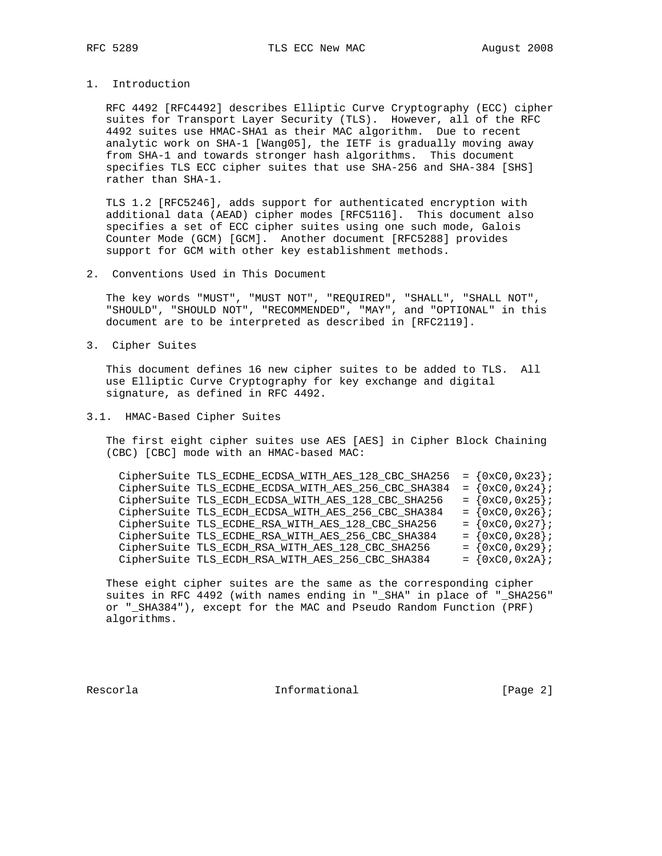# 1. Introduction

 RFC 4492 [RFC4492] describes Elliptic Curve Cryptography (ECC) cipher suites for Transport Layer Security (TLS). However, all of the RFC 4492 suites use HMAC-SHA1 as their MAC algorithm. Due to recent analytic work on SHA-1 [Wang05], the IETF is gradually moving away from SHA-1 and towards stronger hash algorithms. This document specifies TLS ECC cipher suites that use SHA-256 and SHA-384 [SHS] rather than SHA-1.

 TLS 1.2 [RFC5246], adds support for authenticated encryption with additional data (AEAD) cipher modes [RFC5116]. This document also specifies a set of ECC cipher suites using one such mode, Galois Counter Mode (GCM) [GCM]. Another document [RFC5288] provides support for GCM with other key establishment methods.

2. Conventions Used in This Document

 The key words "MUST", "MUST NOT", "REQUIRED", "SHALL", "SHALL NOT", "SHOULD", "SHOULD NOT", "RECOMMENDED", "MAY", and "OPTIONAL" in this document are to be interpreted as described in [RFC2119].

3. Cipher Suites

 This document defines 16 new cipher suites to be added to TLS. All use Elliptic Curve Cryptography for key exchange and digital signature, as defined in RFC 4492.

3.1. HMAC-Based Cipher Suites

 The first eight cipher suites use AES [AES] in Cipher Block Chaining (CBC) [CBC] mode with an HMAC-based MAC:

| CipherSuite TLS_ECDHE_ECDSA_WITH_AES_128_CBC_SHA256 | $= \{0xC0, 0x23\}$ |  |
|-----------------------------------------------------|--------------------|--|
| CipherSuite TLS_ECDHE_ECDSA_WITH_AES_256_CBC_SHA384 | $= \{0xC0, 0x24\}$ |  |
| CipherSuite TLS_ECDH_ECDSA_WITH_AES_128_CBC_SHA256  | $= \{0xC0, 0x25\}$ |  |
| CipherSuite TLS_ECDH_ECDSA_WITH_AES_256_CBC_SHA384  | $= \{0xC0, 0x26\}$ |  |
| CipherSuite TLS_ECDHE_RSA_WITH_AES_128_CBC_SHA256   | $= \{0xC0, 0x27\}$ |  |
| CipherSuite TLS_ECDHE_RSA_WITH_AES_256_CBC_SHA384   | $= \{0xC0, 0x28\}$ |  |
| CipherSuite TLS_ECDH_RSA_WITH_AES_128_CBC_SHA256    | $= \{0xC0, 0x29\}$ |  |
| CipherSuite TLS_ECDH_RSA_WITH_AES_256_CBC_SHA384    | $= \{0xC0, 0x2A\}$ |  |

 These eight cipher suites are the same as the corresponding cipher suites in RFC 4492 (with names ending in "\_SHA" in place of "\_SHA256" or "\_SHA384"), except for the MAC and Pseudo Random Function (PRF) algorithms.

Rescorla **Informational** Informational [Page 2]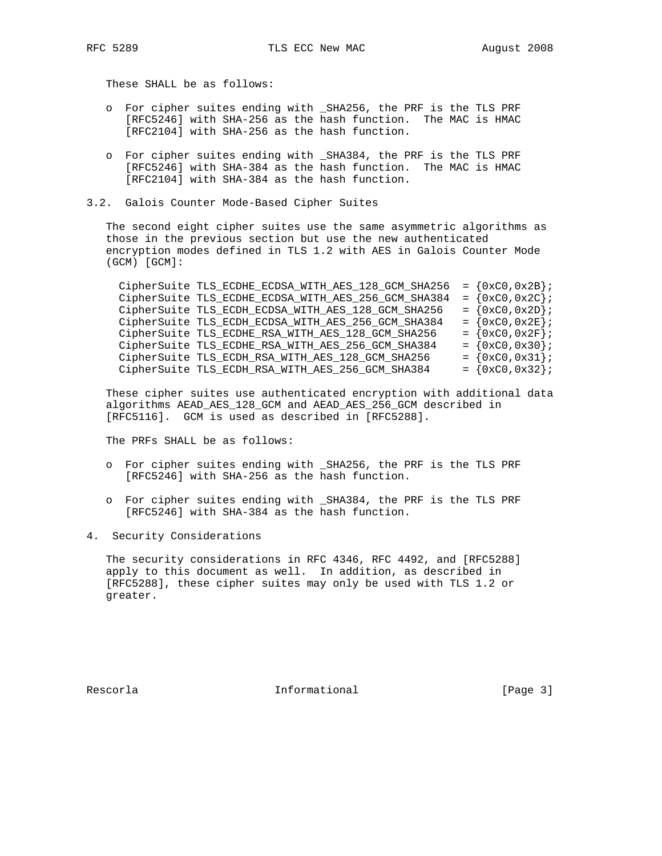These SHALL be as follows:

- o For cipher suites ending with \_SHA256, the PRF is the TLS PRF [RFC5246] with SHA-256 as the hash function. The MAC is HMAC [RFC2104] with SHA-256 as the hash function.
- o For cipher suites ending with \_SHA384, the PRF is the TLS PRF [RFC5246] with SHA-384 as the hash function. The MAC is HMAC [RFC2104] with SHA-384 as the hash function.
- 3.2. Galois Counter Mode-Based Cipher Suites

 The second eight cipher suites use the same asymmetric algorithms as those in the previous section but use the new authenticated encryption modes defined in TLS 1.2 with AES in Galois Counter Mode (GCM) [GCM]:

CipherSuite TLS\_ECDHE\_ECDSA\_WITH\_AES\_128\_GCM\_SHA256 =  $\{0 \times C0, 0 \times 2B\}$ ; CipherSuite TLS\_ECDHE\_ECDSA\_WITH\_AES\_256\_GCM\_SHA384 =  ${0xC0, 0x2C}$ ; CipherSuite TLS\_ECDH\_ECDSA\_WITH\_AES\_128\_GCM\_SHA256 =  $\{0 \times C0, 0 \times 2D\}$ ; CipherSuite TLS\_ECDH\_ECDSA\_WITH\_AES\_256\_GCM\_SHA384 =  $\{0 \times C0, 0 \times 2E\}$ ; <code>CipherSuite TLS\_ECDHE\_RSA\_WITH\_AES\_128\_GCM\_SHA256 = {0xC0,0x2F};</code> <code>CipherSuite TLS\_ECDHE\_RSA\_WITH\_AES\_256\_GCM\_SHA384 = {0xC0,0x30};</code> <code>CipherSuite TLS\_ECDH\_RSA\_WITH\_AES\_128\_GCM\_SHA256</code>  $=$   $\{0xC0, 0x31\}$ ; <code>CipherSuite TLS\_ECDH\_RSA\_WITH\_AES\_256\_GCM\_SHA384</code>  $=$   $\{0 \times C0, 0 \times 32\}$ ;

 These cipher suites use authenticated encryption with additional data algorithms AEAD\_AES\_128\_GCM and AEAD\_AES\_256\_GCM described in [RFC5116]. GCM is used as described in [RFC5288].

The PRFs SHALL be as follows:

- o For cipher suites ending with \_SHA256, the PRF is the TLS PRF [RFC5246] with SHA-256 as the hash function.
- o For cipher suites ending with \_SHA384, the PRF is the TLS PRF [RFC5246] with SHA-384 as the hash function.
- 4. Security Considerations

 The security considerations in RFC 4346, RFC 4492, and [RFC5288] apply to this document as well. In addition, as described in [RFC5288], these cipher suites may only be used with TLS 1.2 or greater.

Rescorla **Informational** Informational [Page 3]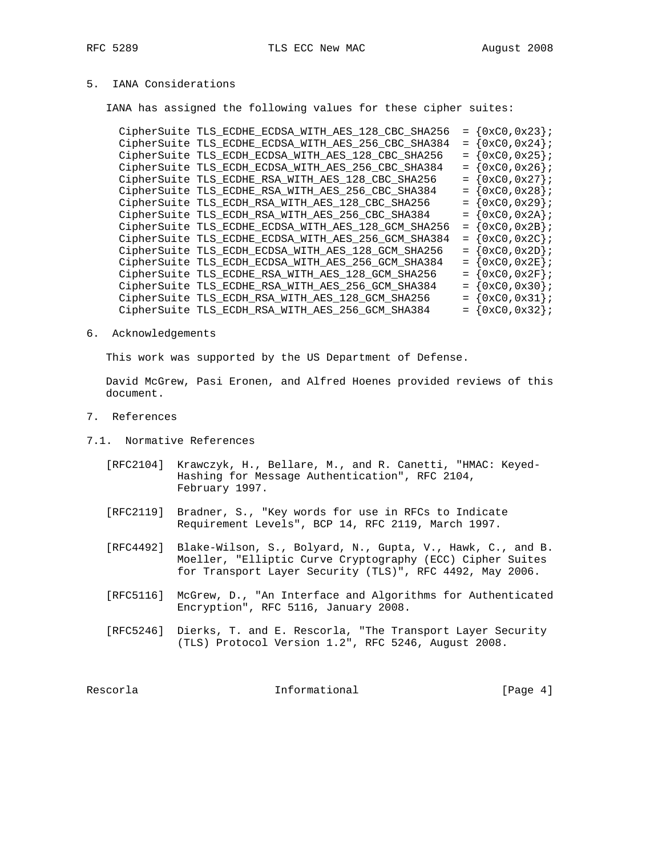# 5. IANA Considerations

IANA has assigned the following values for these cipher suites:

|  | CipherSuite TLS_ECDHE_ECDSA_WITH_AES_128_CBC_SHA256 | $= \{0xC0, 0x23\}$               |
|--|-----------------------------------------------------|----------------------------------|
|  | CipherSuite TLS ECDHE ECDSA WITH AES 256 CBC SHA384 | $= \{0xC0, 0x24\}$               |
|  | CipherSuite TLS_ECDH_ECDSA_WITH_AES_128_CBC_SHA256  | $= \{0xC0, 0x25\}$               |
|  | CipherSuite TLS_ECDH_ECDSA_WITH_AES_256_CBC_SHA384  | $= \{0xC0, 0x26\}$               |
|  | CipherSuite TLS ECDHE RSA WITH AES 128 CBC SHA256   | $= \{0xC0, 0x27\}$               |
|  | CipherSuite TLS_ECDHE_RSA_WITH_AES_256_CBC_SHA384   | $= \{0xC0, 0x28\}$               |
|  | CipherSuite TLS_ECDH_RSA_WITH_AES_128_CBC_SHA256    | $= \{0xC0, 0x29\}$               |
|  | CipherSuite TLS_ECDH_RSA_WITH_AES_256_CBC_SHA384    | $= \{0xC0, 0x2A\}$               |
|  | CipherSuite TLS_ECDHE_ECDSA_WITH_AES_128_GCM_SHA256 | $= \{0xC0, 0x2B\}$               |
|  | CipherSuite TLS_ECDHE_ECDSA_WITH_AES_256_GCM_SHA384 | $= \{0xC0, 0x2C\}$               |
|  | CipherSuite TLS_ECDH_ECDSA_WITH_AES_128_GCM_SHA256  | $= \{0xC0, 0x2D\}$               |
|  | CipherSuite TLS_ECDH_ECDSA_WITH_AES_256_GCM_SHA384  | $= \{0 \times C0, 0 \times 2E\}$ |
|  | CipherSuite TLS_ECDHE_RSA_WITH_AES_128_GCM_SHA256   | $= \{0xC0, 0x2F\}$               |
|  | CipherSuite TLS ECDHE RSA WITH AES 256 GCM SHA384   | $= \{0xC0, 0x30\}$               |
|  | CipherSuite TLS_ECDH_RSA_WITH_AES_128_GCM_SHA256    | $= \{0xC0, 0x31\}$               |
|  | CipherSuite TLS ECDH RSA WITH AES 256 GCM SHA384    | $= \{0xC0, 0x32\}$               |

#### 6. Acknowledgements

This work was supported by the US Department of Defense.

 David McGrew, Pasi Eronen, and Alfred Hoenes provided reviews of this document.

- 7. References
- 7.1. Normative References
	- [RFC2104] Krawczyk, H., Bellare, M., and R. Canetti, "HMAC: Keyed- Hashing for Message Authentication", RFC 2104, February 1997.
	- [RFC2119] Bradner, S., "Key words for use in RFCs to Indicate Requirement Levels", BCP 14, RFC 2119, March 1997.
	- [RFC4492] Blake-Wilson, S., Bolyard, N., Gupta, V., Hawk, C., and B. Moeller, "Elliptic Curve Cryptography (ECC) Cipher Suites for Transport Layer Security (TLS)", RFC 4492, May 2006.
	- [RFC5116] McGrew, D., "An Interface and Algorithms for Authenticated Encryption", RFC 5116, January 2008.
- [RFC5246] Dierks, T. and E. Rescorla, "The Transport Layer Security (TLS) Protocol Version 1.2", RFC 5246, August 2008.

Rescorla **Informational** Informational [Page 4]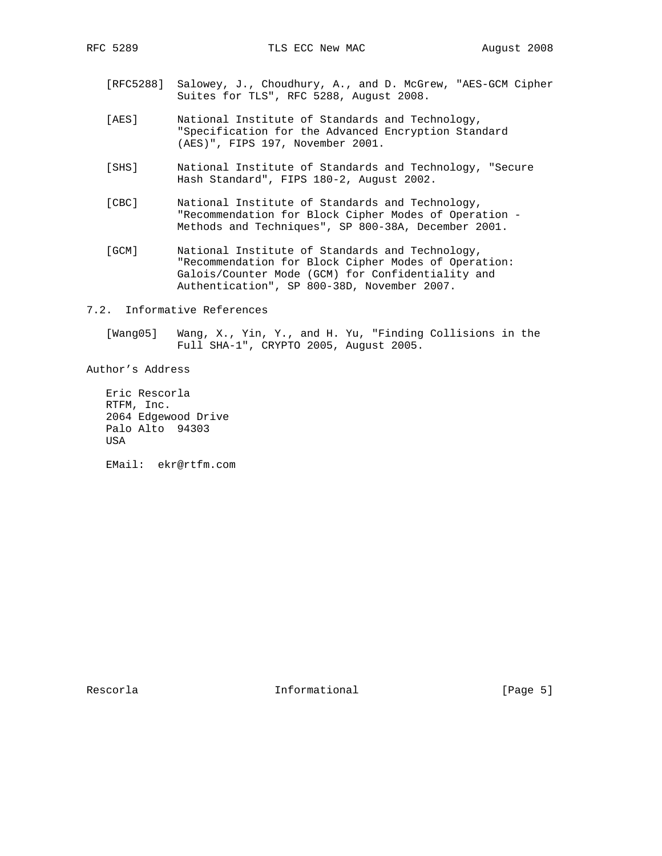- [RFC5288] Salowey, J., Choudhury, A., and D. McGrew, "AES-GCM Cipher Suites for TLS", RFC 5288, August 2008.
- [AES] National Institute of Standards and Technology, "Specification for the Advanced Encryption Standard (AES)", FIPS 197, November 2001.
- [SHS] National Institute of Standards and Technology, "Secure Hash Standard", FIPS 180-2, August 2002.
- [CBC] National Institute of Standards and Technology, "Recommendation for Block Cipher Modes of Operation - Methods and Techniques", SP 800-38A, December 2001.
- [GCM] National Institute of Standards and Technology, "Recommendation for Block Cipher Modes of Operation: Galois/Counter Mode (GCM) for Confidentiality and Authentication", SP 800-38D, November 2007.
- 7.2. Informative References

 [Wang05] Wang, X., Yin, Y., and H. Yu, "Finding Collisions in the Full SHA-1", CRYPTO 2005, August 2005.

Author's Address

 Eric Rescorla RTFM, Inc. 2064 Edgewood Drive Palo Alto 94303 USA

EMail: ekr@rtfm.com

Rescorla **Informational** Informational [Page 5]